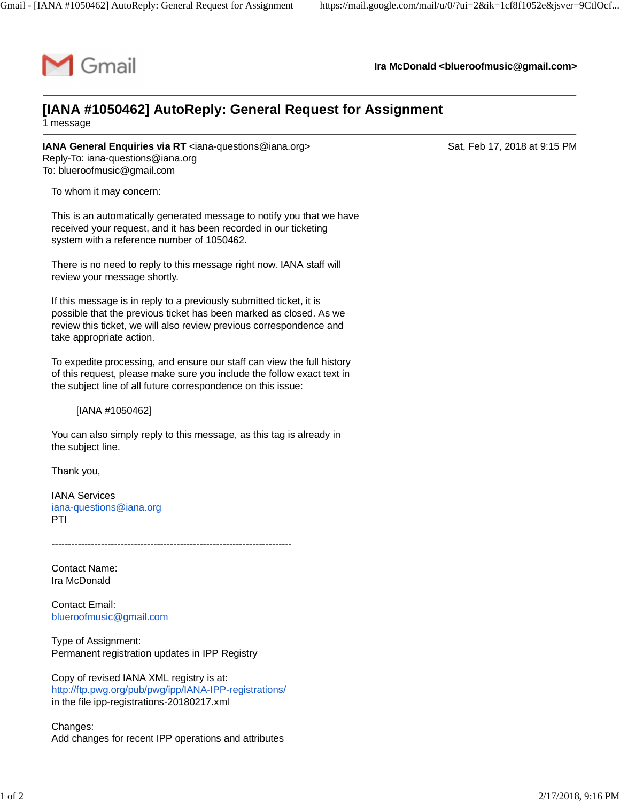

**Ira McDonald [<blueroofmusic@gmail.com](mailto:blueroofmusic@gmail.com)>**

## **[IANA #1050462] AutoReply: General Request for Assignment**

1 message

**IANA General Enquiries via RT** [<iana-questions@iana.org>](mailto:iana-questions@iana.org) Sat, Feb 17, 2018 at 9:15 PM Reply-To: [iana-questions@iana.org](mailto:iana-questions@iana.org) To: [blueroofmusic@gmail.com](mailto:blueroofmusic@gmail.com)

To whom it may concern:

This is an automatically generated message to notify you that we have received your request, and it has been recorded in our ticketing system with a reference number of 1050462.

There is no need to reply to this message right now. IANA staff will review your message shortly.

If this message is in reply to a previously submitted ticket, it is possible that the previous ticket has been marked as closed. As we review this ticket, we will also review previous correspondence and take appropriate action.

To expedite processing, and ensure our staff can view the full history of this request, please make sure you include the follow exact text in the subject line of all future correspondence on this issue:

[IANA #1050462]

You can also simply reply to this message, as this tag is already in the subject line.

Thank you,

IANA Services [iana-questions@iana.org](mailto:iana-questions@iana.org) PTI

-------------------------------------------------------------------------

Contact Name: Ira McDonald

Contact Email: [blueroofmusic@gmail.com](mailto:blueroofmusic@gmail.com)

Type of Assignment: Permanent registration updates in IPP Registry

Copy of revised IANA XML registry is at: <http://ftp.pwg.org/pub/pwg/ipp/IANA-IPP-registrations/> in the file ipp-registrations-20180217.xml

Changes: Add changes for recent IPP operations and attributes